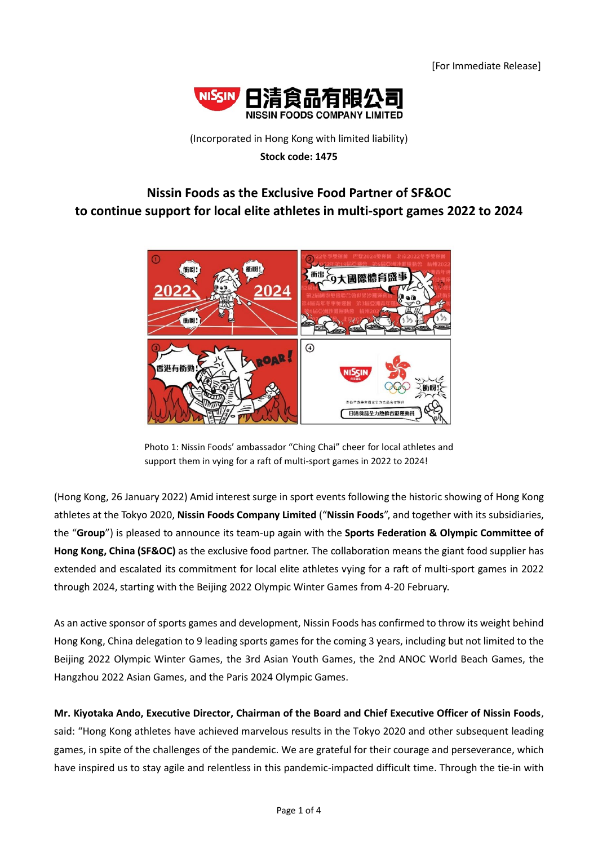

## (Incorporated in Hong Kong with limited liability) **Stock code: 1475**

# **Nissin Foods as the Exclusive Food Partner of SF&OC to continue support for local elite athletes in multi-sport games 2022 to 2024**



Photo 1: Nissin Foods' ambassador "Ching Chai" cheer for local athletes and support them in vying for a raft of multi-sport games in 2022 to 2024!

(Hong Kong, 26 January 2022) Amid interest surge in sport events following the historic showing of Hong Kong athletes at the Tokyo 2020, **Nissin Foods Company Limited** ("**Nissin Foods**", and together with its subsidiaries, the "**Group**") is pleased to announce its team-up again with the **Sports Federation & Olympic Committee of Hong Kong, China (SF&OC)** as the exclusive food partner. The collaboration means the giant food supplier has extended and escalated its commitment for local elite athletes vying for a raft of multi-sport games in 2022 through 2024, starting with the Beijing 2022 Olympic Winter Games from 4-20 February.

As an active sponsor of sports games and development, Nissin Foods has confirmed to throw its weight behind Hong Kong, China delegation to 9 leading sports games for the coming 3 years, including but not limited to the Beijing 2022 Olympic Winter Games, the 3rd Asian Youth Games, the 2nd ANOC World Beach Games, the Hangzhou 2022 Asian Games, and the Paris 2024 Olympic Games.

# **Mr. Kiyotaka Ando, Executive Director, Chairman of the Board and Chief Executive Officer of Nissin Foods**,

said: "Hong Kong athletes have achieved marvelous results in the Tokyo 2020 and other subsequent leading games, in spite of the challenges of the pandemic. We are grateful for their courage and perseverance, which have inspired us to stay agile and relentless in this pandemic-impacted difficult time. Through the tie-in with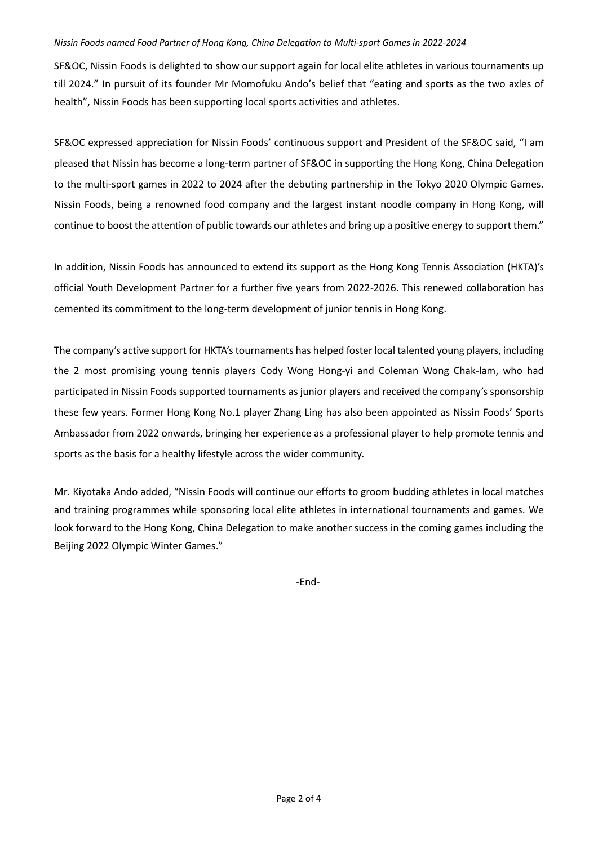#### *Nissin Foods named Food Partner of Hong Kong, China Delegation to Multi-sport Games in 2022-2024*

SF&OC, Nissin Foods is delighted to show our support again for local elite athletes in various tournaments up till 2024." In pursuit of its founder Mr Momofuku Ando's belief that "eating and sports as the two axles of health", Nissin Foods has been supporting local sports activities and athletes.

SF&OC expressed appreciation for Nissin Foods' continuous support and President of the SF&OC said, "I am pleased that Nissin has become a long-term partner of SF&OC in supporting the Hong Kong, China Delegation to the multi-sport games in 2022 to 2024 after the debuting partnership in the Tokyo 2020 Olympic Games. Nissin Foods, being a renowned food company and the largest instant noodle company in Hong Kong, will continue to boost the attention of public towards our athletes and bring up a positive energy to support them."

In addition, Nissin Foods has announced to extend its support as the Hong Kong Tennis Association (HKTA)'s official Youth Development Partner for a further five years from 2022-2026. This renewed collaboration has cemented its commitment to the long-term development of junior tennis in Hong Kong.

The company's active support for HKTA's tournaments has helped foster local talented young players, including the 2 most promising young tennis players Cody Wong Hong-yi and Coleman Wong Chak-lam, who had participated in Nissin Foods supported tournaments as junior players and received the company's sponsorship these few years. Former Hong Kong No.1 player Zhang Ling has also been appointed as Nissin Foods' Sports Ambassador from 2022 onwards, bringing her experience as a professional player to help promote tennis and sports as the basis for a healthy lifestyle across the wider community.

Mr. Kiyotaka Ando added, "Nissin Foods will continue our efforts to groom budding athletes in local matches and training programmes while sponsoring local elite athletes in international tournaments and games. We look forward to the Hong Kong, China Delegation to make another success in the coming games including the Beijing 2022 Olympic Winter Games."

-End-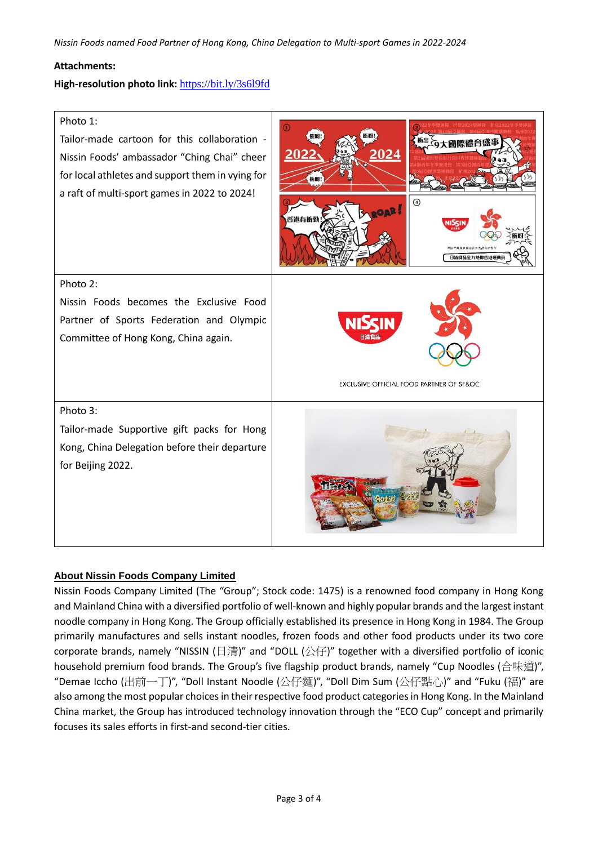### **Attachments:**

### **High-resolution photo link:** <https://bit.ly/3s6l9fd>



### **About Nissin Foods Company Limited**

Nissin Foods Company Limited (The "Group"; Stock code: 1475) is a renowned food company in Hong Kong and Mainland China with a diversified portfolio of well-known and highly popular brands and the largest instant noodle company in Hong Kong. The Group officially established its presence in Hong Kong in 1984. The Group primarily manufactures and sells instant noodles, frozen foods and other food products under its two core corporate brands, namely "NISSIN (日清)" and "DOLL (公仔)" together with a diversified portfolio of iconic household premium food brands. The Group's five flagship product brands, namely "Cup Noodles (合味道)", "Demae Iccho (出前一丁)", "Doll Instant Noodle (公仔麵)", "Doll Dim Sum (公仔點心)" and "Fuku (福)" are also among the most popular choices in their respective food product categories in Hong Kong. In the Mainland China market, the Group has introduced technology innovation through the "ECO Cup" concept and primarily focuses its sales efforts in first-and second-tier cities.